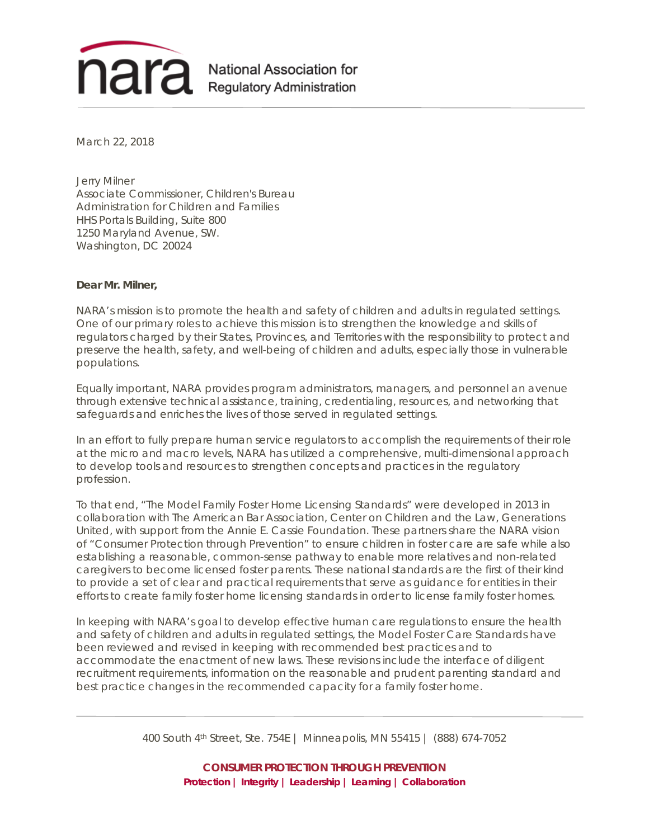

March 22, 2018

Jerry Milner Associate Commissioner, Children's Bureau Administration for Children and Families HHS Portals Building, Suite 800 1250 Maryland Avenue, SW. Washington, DC 20024

## **Dear Mr. Milner,**

NARA's mission is to promote the health and safety of children and adults in regulated settings. One of our primary roles to achieve this mission is to strengthen the knowledge and skills of regulators charged by their States, Provinces, and Territories with the responsibility to protect and preserve the health, safety, and well-being of children and adults, especially those in vulnerable populations.

Equally important, NARA provides program administrators, managers, and personnel an avenue through extensive technical assistance, training, credentialing, resources, and networking that safeguards and enriches the lives of those served in regulated settings.

In an effort to fully prepare human service regulators to accomplish the requirements of their role at the micro and macro levels, NARA has utilized a comprehensive, multi-dimensional approach to develop tools and resources to strengthen concepts and practices in the regulatory profession.

To that end, "The Model Family Foster Home Licensing Standards" were developed in 2013 in collaboration with The American Bar Association, Center on Children and the Law, Generations United, with support from the Annie E. Cassie Foundation. These partners share the NARA vision of "Consumer Protection through Prevention" to ensure children in foster care are safe while also establishing a reasonable, common-sense pathway to enable more relatives and non-related caregivers to become licensed foster parents. These national standards are the first of their kind to provide a set of clear and practical requirements that serve as guidance for entities in their efforts to create family foster home licensing standards in order to license family foster homes.

In keeping with NARA's goal to develop effective human care regulations to ensure the health and safety of children and adults in regulated settings, the Model Foster Care Standards have been reviewed and revised in keeping with recommended best practices and to accommodate the enactment of new laws. These revisions include the interface of diligent recruitment requirements, information on the reasonable and prudent parenting standard and best practice changes in the recommended capacity for a family foster home.

400 South 4th Street, Ste. 754E | Minneapolis, MN 55415 | (888) 674-7052

**CONSUMER PROTECTION THROUGH PREVENTION Protection | Integrity | Leadership | Learning | Collaboration**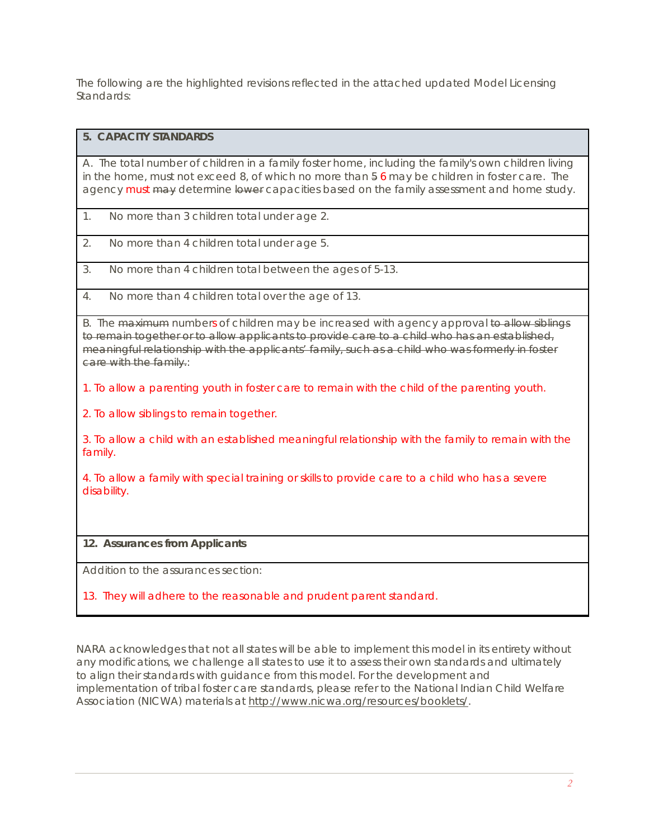The following are the highlighted revisions reflected in the attached updated Model Licensing Standards:

## **5. CAPACITY STANDARDS**

A. The total number of children in a family foster home, including the family's own children living in the home, must not exceed 8, of which no more than  $56$  may be children in foster care. The agency must may determine lower capacities based on the family assessment and home study.

- 1. No more than 3 children total under age 2.
- 2. No more than 4 children total under age 5.
- 3. No more than 4 children total between the ages of 5-13.
- 4. No more than 4 children total over the age of 13.

B. The maximum numbers of children may be increased with agency approval to allow siblings to remain together or to allow applicants to provide care to a child who has an established, meaningful relationship with the applicants' family, such as a child who was formerly in foster care with the family.:

1. To allow a parenting youth in foster care to remain with the child of the parenting youth.

2. To allow siblings to remain together.

3. To allow a child with an established meaningful relationship with the family to remain with the family.

4. To allow a family with special training or skills to provide care to a child who has a severe disability.

## **12. Assurances from Applicants**

Addition to the assurances section:

## 13. They will adhere to the reasonable and prudent parent standard.

NARA acknowledges that not all states will be able to implement this model in its entirety without any modifications, we challenge all states to use it to assess their own standards and ultimately to align their standards with guidance from this model. For the development and implementation of tribal foster care standards, please refer to the National Indian Child Welfare Association (NICWA) materials at [http://www.nicwa.org/resources/booklets/.](http://www.nicwa.org/resources/booklets/)